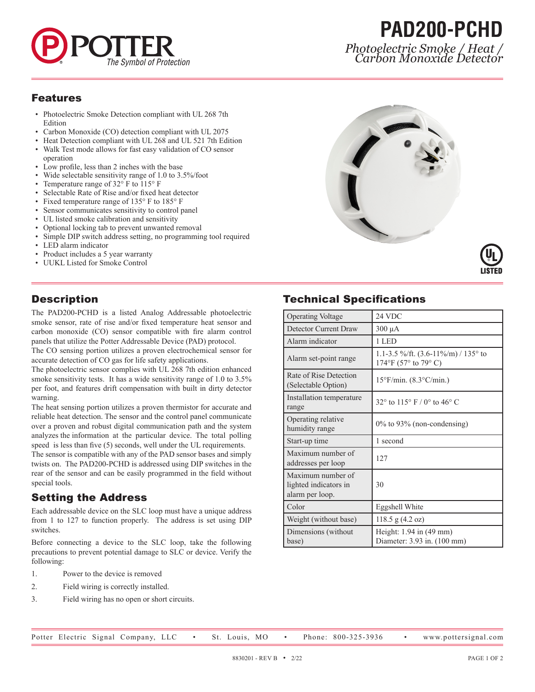

## **PAD200-PCHD** *Photoelectric Smoke / Heat / Carbon Monoxide Detector*

#### Features

- Photoelectric Smoke Detection compliant with UL 268 7th Edition
- Carbon Monoxide (CO) detection compliant with UL 2075
- Heat Detection compliant with UL 268 and UL 521 7th Edition
- Walk Test mode allows for fast easy validation of CO sensor operation
- Low profile, less than 2 inches with the base
- Wide selectable sensitivity range of 1.0 to 3.5%/foot
- Temperature range of 32° F to 115° F
- Selectable Rate of Rise and/or fixed heat detector
- Fixed temperature range of 135° F to 185° F
- Sensor communicates sensitivity to control panel
- UL listed smoke calibration and sensitivity
- Optional locking tab to prevent unwanted removal
- Simple DIP switch address setting, no programming tool required
- LED alarm indicator
- Product includes a 5 year warranty
- UUKL Listed for Smoke Control

#### **Description**

The PAD200-PCHD is a listed Analog Addressable photoelectric smoke sensor, rate of rise and/or fixed temperature heat sensor and carbon monoxide (CO) sensor compatible with fire alarm control panels that utilize the Potter Addressable Device (PAD) protocol.

The CO sensing portion utilizes a proven electrochemical sensor for accurate detection of CO gas for life safety applications.

The photoelectric sensor complies with UL 268 7th edition enhanced smoke sensitivity tests. It has a wide sensitivity range of 1.0 to 3.5% per foot, and features drift compensation with built in dirty detector warning.

The heat sensing portion utilizes a proven thermistor for accurate and reliable heat detection. The sensor and the control panel communicate over a proven and robust digital communication path and the system analyzes the information at the particular device. The total polling speed is less than five (5) seconds, well under the UL requirements.

The sensor is compatible with any of the PAD sensor bases and simply twists on. The PAD200-PCHD is addressed using DIP switches in the rear of the sensor and can be easily programmed in the field without special tools.

#### Setting the Address

Each addressable device on the SLC loop must have a unique address from 1 to 127 to function properly. The address is set using DIP switches.

Before connecting a device to the SLC loop, take the following precautions to prevent potential damage to SLC or device. Verify the following:

- 1. Power to the device is removed
- 2. Field wiring is correctly installed.
- 3. Field wiring has no open or short circuits.



### Technical Specifications

| <b>Operating Voltage</b>                                      | 24 VDC                                                                 |
|---------------------------------------------------------------|------------------------------------------------------------------------|
| Detector Current Draw                                         | $300 \mu A$                                                            |
| Alarm indicator                                               | 1 LED                                                                  |
| Alarm set-point range                                         | 1.1-3.5 %/ft. $(3.6-11\%/m)$ / 135 $\degree$ to<br>174°F (57° to 79°C) |
| Rate of Rise Detection<br>(Selectable Option)                 | $15^{\circ}$ F/min. $(8.3^{\circ}$ C/min.)                             |
| Installation temperature<br>range                             | 32 $\degree$ to 115 $\degree$ F / 0 $\degree$ to 46 $\degree$ C        |
| Operating relative<br>humidity range                          | $0\%$ to 93% (non-condensing)                                          |
| Start-up time                                                 | 1 second                                                               |
| Maximum number of<br>addresses per loop                       | 127                                                                    |
| Maximum number of<br>lighted indicators in<br>alarm per loop. | 30                                                                     |
| Color                                                         | Eggshell White                                                         |
| Weight (without base)                                         | $118.5$ g $(4.2$ oz)                                                   |
| Dimensions (without<br>base)                                  | Height: $1.94$ in $(49$ mm)<br>Diameter: 3.93 in. (100 mm)             |